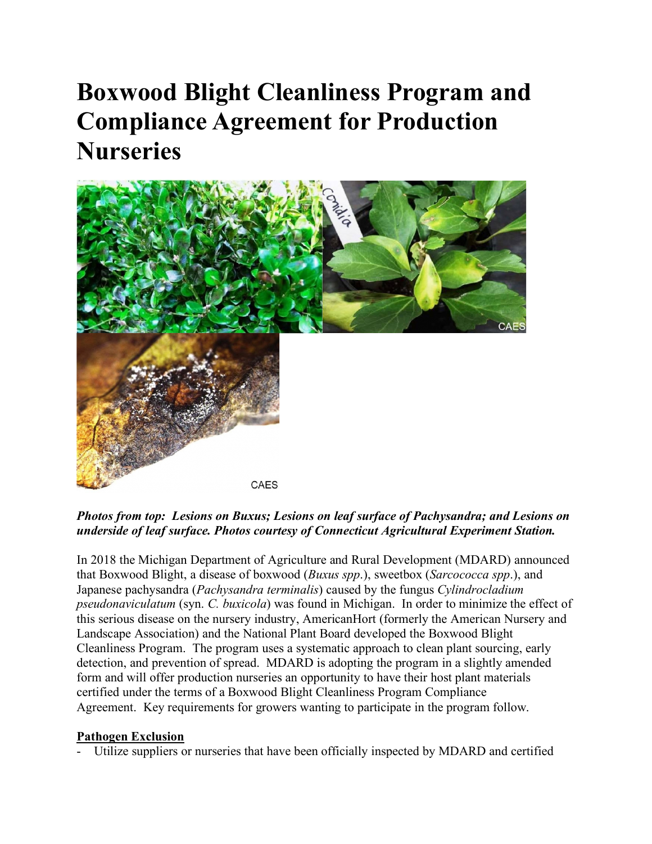# **Boxwood Blight Cleanliness Program and Compliance Agreement for Production Nurseries**



# *Photos from top: Lesions on Buxus; Lesions on leaf surface of Pachysandra; and Lesions on underside of leaf surface. Photos courtesy of Connecticut Agricultural Experiment Station.*

In 2018 the Michigan Department of Agriculture and Rural Development (MDARD) announced that Boxwood Blight, a disease of boxwood (*Buxus spp*.), sweetbox (*Sarcococca spp*.), and Japanese pachysandra (*Pachysandra terminalis*) caused by the fungus *Cylindrocladium pseudonaviculatum* (syn. *C. buxicola*) was found in Michigan. In order to minimize the effect of this serious disease on the nursery industry, AmericanHort (formerly the American Nursery and Landscape Association) and the National Plant Board developed the Boxwood Blight Cleanliness Program. The program uses a systematic approach to clean plant sourcing, early detection, and prevention of spread. MDARD is adopting the program in a slightly amended form and will offer production nurseries an opportunity to have their host plant materials certified under the terms of a Boxwood Blight Cleanliness Program Compliance Agreement. Key requirements for growers wanting to participate in the program follow.

#### **Pathogen Exclusion**

Utilize suppliers or nurseries that have been officially inspected by MDARD and certified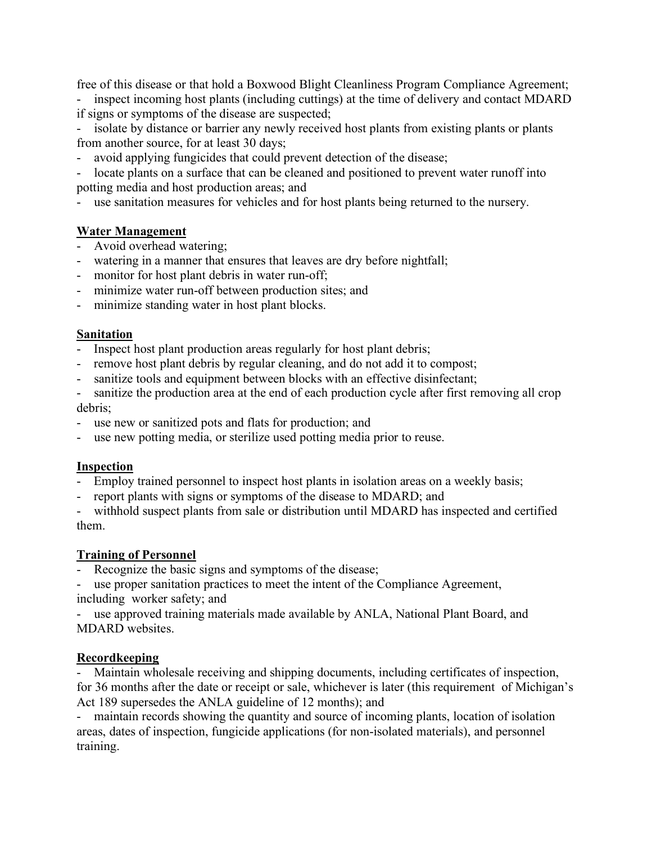free of this disease or that hold a Boxwood Blight Cleanliness Program Compliance Agreement;

inspect incoming host plants (including cuttings) at the time of delivery and contact MDARD if signs or symptoms of the disease are suspected;

isolate by distance or barrier any newly received host plants from existing plants or plants from another source, for at least 30 days;

- avoid applying fungicides that could prevent detection of the disease;

locate plants on a surface that can be cleaned and positioned to prevent water runoff into potting media and host production areas; and

use sanitation measures for vehicles and for host plants being returned to the nursery.

# **Water Management**

- Avoid overhead watering;
- watering in a manner that ensures that leaves are dry before nightfall;
- monitor for host plant debris in water run-off;
- minimize water run-off between production sites; and
- minimize standing water in host plant blocks.

# **Sanitation**

- Inspect host plant production areas regularly for host plant debris;
- remove host plant debris by regular cleaning, and do not add it to compost;
- sanitize tools and equipment between blocks with an effective disinfectant;
- sanitize the production area at the end of each production cycle after first removing all crop debris;
- use new or sanitized pots and flats for production; and
- use new potting media, or sterilize used potting media prior to reuse.

# **Inspection**

- Employ trained personnel to inspect host plants in isolation areas on a weekly basis;
- report plants with signs or symptoms of the disease to MDARD; and

- withhold suspect plants from sale or distribution until MDARD has inspected and certified them.

# **Training of Personnel**

Recognize the basic signs and symptoms of the disease;

use proper sanitation practices to meet the intent of the Compliance Agreement, including worker safety; and

use approved training materials made available by ANLA, National Plant Board, and MDARD websites.

# **Recordkeeping**

Maintain wholesale receiving and shipping documents, including certificates of inspection, for 36 months after the date or receipt or sale, whichever is later (this requirement of Michigan's Act 189 supersedes the ANLA guideline of 12 months); and

- maintain records showing the quantity and source of incoming plants, location of isolation areas, dates of inspection, fungicide applications (for non-isolated materials), and personnel training.